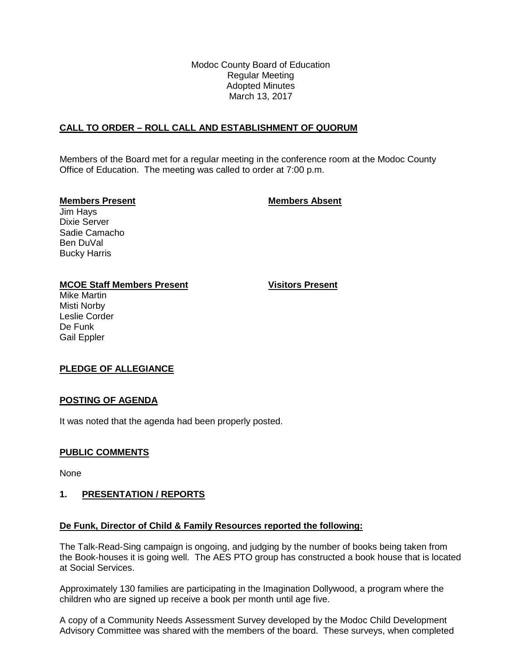Modoc County Board of Education Regular Meeting Adopted Minutes March 13, 2017

# **CALL TO ORDER – ROLL CALL AND ESTABLISHMENT OF QUORUM**

Members of the Board met for a regular meeting in the conference room at the Modoc County Office of Education. The meeting was called to order at 7:00 p.m.

## **Members Present Members Absent**

Jim Hays Dixie Server Sadie Camacho Ben DuVal Bucky Harris

# **MCOE Staff Members Present Visitors Present**

Mike Martin Misti Norby Leslie Corder De Funk Gail Eppler

# **PLEDGE OF ALLEGIANCE**

# **POSTING OF AGENDA**

It was noted that the agenda had been properly posted.

# **PUBLIC COMMENTS**

None

# **1. PRESENTATION / REPORTS**

# **De Funk, Director of Child & Family Resources reported the following:**

The Talk-Read-Sing campaign is ongoing, and judging by the number of books being taken from the Book-houses it is going well. The AES PTO group has constructed a book house that is located at Social Services.

Approximately 130 families are participating in the Imagination Dollywood, a program where the children who are signed up receive a book per month until age five.

A copy of a Community Needs Assessment Survey developed by the Modoc Child Development Advisory Committee was shared with the members of the board. These surveys, when completed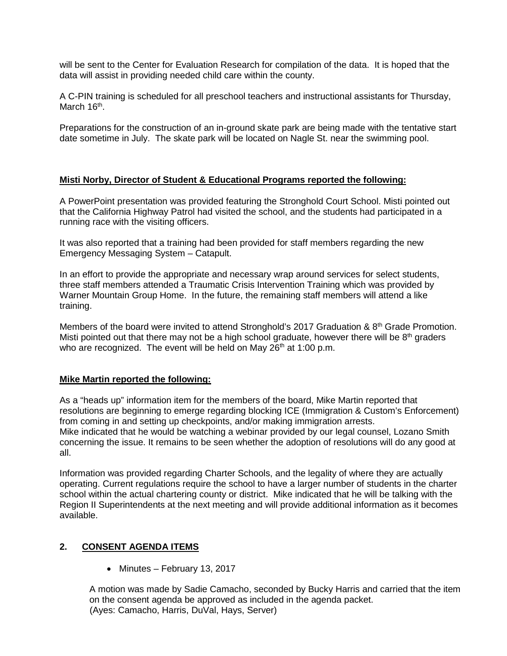will be sent to the Center for Evaluation Research for compilation of the data. It is hoped that the data will assist in providing needed child care within the county.

A C-PIN training is scheduled for all preschool teachers and instructional assistants for Thursday, March 16<sup>th</sup>.

Preparations for the construction of an in-ground skate park are being made with the tentative start date sometime in July. The skate park will be located on Nagle St. near the swimming pool.

# **Misti Norby, Director of Student & Educational Programs reported the following:**

A PowerPoint presentation was provided featuring the Stronghold Court School. Misti pointed out that the California Highway Patrol had visited the school, and the students had participated in a running race with the visiting officers.

It was also reported that a training had been provided for staff members regarding the new Emergency Messaging System – Catapult.

In an effort to provide the appropriate and necessary wrap around services for select students, three staff members attended a Traumatic Crisis Intervention Training which was provided by Warner Mountain Group Home. In the future, the remaining staff members will attend a like training.

Members of the board were invited to attend Stronghold's 2017 Graduation &  $8<sup>th</sup>$  Grade Promotion. Misti pointed out that there may not be a high school graduate, however there will be  $8<sup>th</sup>$  graders who are recognized. The event will be held on May  $26<sup>th</sup>$  at 1:00 p.m.

# **Mike Martin reported the following:**

As a "heads up" information item for the members of the board, Mike Martin reported that resolutions are beginning to emerge regarding blocking ICE (Immigration & Custom's Enforcement) from coming in and setting up checkpoints, and/or making immigration arrests. Mike indicated that he would be watching a webinar provided by our legal counsel, Lozano Smith concerning the issue. It remains to be seen whether the adoption of resolutions will do any good at all.

Information was provided regarding Charter Schools, and the legality of where they are actually operating. Current regulations require the school to have a larger number of students in the charter school within the actual chartering county or district. Mike indicated that he will be talking with the Region II Superintendents at the next meeting and will provide additional information as it becomes available.

# **2. CONSENT AGENDA ITEMS**

• Minutes – February 13, 2017

A motion was made by Sadie Camacho, seconded by Bucky Harris and carried that the item on the consent agenda be approved as included in the agenda packet. (Ayes: Camacho, Harris, DuVal, Hays, Server)